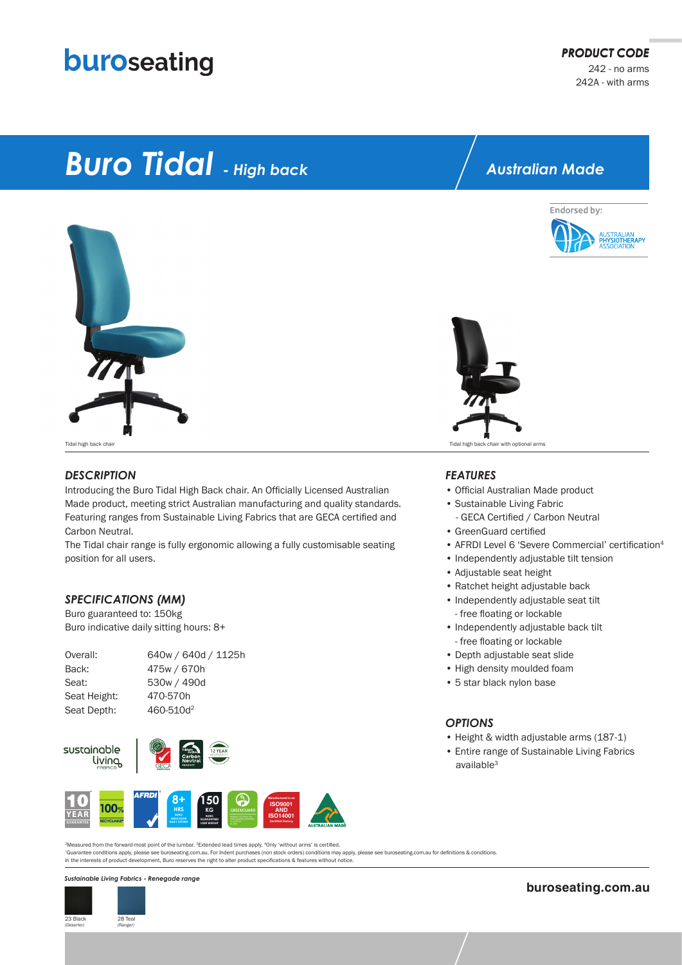## buroseating

# *Buro Tidal - High back*



#### *DESCRIPTION*

Introducing the Buro Tidal High Back chair. An Officially Licensed Australian Made product, meeting strict Australian manufacturing and quality standards. Featuring ranges from Sustainable Living Fabrics that are GECA certified and Carbon Neutral.

The Tidal chair range is fully ergonomic allowing a fully customisable seating position for all users.

#### *SPECIFICATIONS (MM)*

Buro guaranteed to: 150kg Buro indicative daily sitting hours: 8+

| Overall:     | 640w / 640d / 1125h   |
|--------------|-----------------------|
| Back:        | 475w / 670h           |
| Seat:        | 530w / 490d           |
| Seat Height: | 470-570h              |
| Seat Depth:  | 460-510d <sup>2</sup> |
|              |                       |





*\**Guarantee conditions apply, please see buroseating.com.au. For Indent purchases (non stock orders) conditions may apply, please see buroseating.com.au for definitions & conditions. In the interests of product development, Buro reserves the right to alter product specifications & features without notice. 2Measured from the forward-most point of the lumbar. 3Extended lead times apply. <sup>4</sup>Only 'without arms' is certified.

#### *Sustainable Living Fabrics - Renegade range*



### *Australian Made*





Tidal high back chair Tidal high back chair with optional arms

#### *FEATURES*

- Official Australian Made product • Sustainable Living Fabric
- GECA Certified / Carbon Neutral
- GreenGuard certified
- AFRDI Level 6 'Severe Commercial' certification<sup>4</sup>
- Independently adjustable tilt tension
- Adjustable seat height
- Ratchet height adjustable back
- Independently adjustable seat tilt - free floating or lockable
- Independently adjustable back tilt - free floating or lockable
- Depth adjustable seat slide
- High density moulded foam
- 5 star black nylon base

#### *OPTIONS*

- Height & width adjustable arms (187-1)
- Entire range of Sustainable Living Fabrics available<sup>3</sup>

**buroseating.com.au**